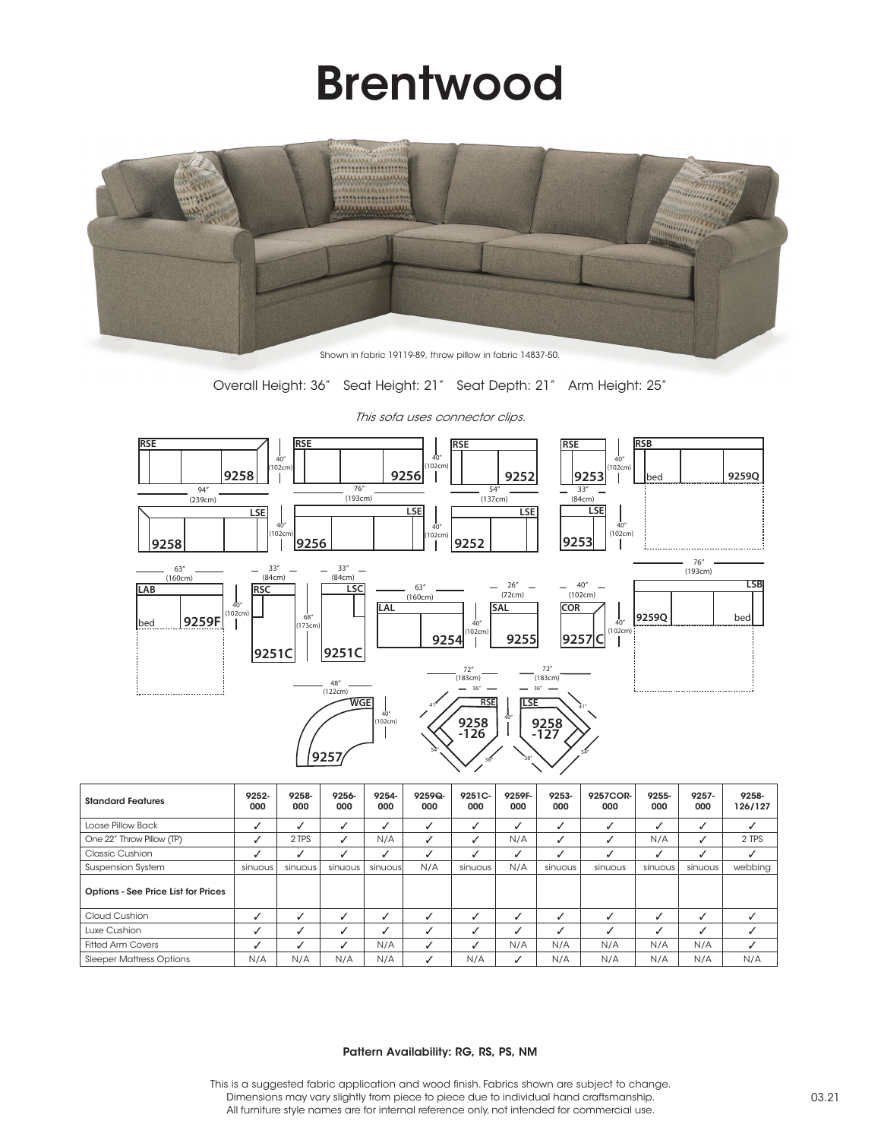## Brentwood



Shown in fabric 19119-89, throw pillow in fabric 14837-50.

Overall Height: 36" Seat Height: 21" Seat Depth: 21" Arm Height: 25"



| <b>Standard Features</b>            | 9252-<br>000 | 9258-<br>000 | 9256-<br>000 | 9254-<br>000 | $9259Q -$<br>000 | 9251C-<br>000 | 9259F-<br>000 | 9253-<br>000 | 9257COR-<br>000 | 9255-<br>000 | 9257-<br>000 | 9258-<br>126/127 |
|-------------------------------------|--------------|--------------|--------------|--------------|------------------|---------------|---------------|--------------|-----------------|--------------|--------------|------------------|
| Loose Pillow Back                   | ✓            |              |              | ✓            |                  | $\checkmark$  | ┙             | ↵            | J               |              | √            |                  |
| One 22" Throw Pillow (TP)           | J            | 2 TPS        |              | N/A          |                  | ✓             | N/A           | ↵            |                 | N/A          | √            | 2 TPS            |
| Classic Cushion                     |              |              |              | √            |                  |               | √             |              |                 |              |              |                  |
| <b>Suspension System</b>            | sinuous      | sinuous      | sinuous      | sinuousl     | N/A              | sinuous       | N/A           | sinuous      | sinuous         | sinuous      | sinuous      | webbing          |
| Options - See Price List for Prices |              |              |              |              |                  |               |               |              |                 |              |              |                  |
| Cloud Cushion                       | √            |              |              |              |                  |               | J             |              |                 |              | J            |                  |
| Luxe Cushion                        | √            |              |              |              |                  |               | ┙             |              |                 |              | J            |                  |
| <b>Fitted Arm Covers</b>            | ✓            |              |              | N/A          |                  |               | N/A           | N/A          | N/A             | N/A          | N/A          |                  |
| <b>Sleeper Mattress Options</b>     | N/A          | N/A          | N/A          | N/A          |                  | N/A           | ں             | N/A          | N/A             | N/A          | N/A          | N/A              |

This sofa uses connector clips.

## Pattern Availability: RG, RS, PS, NM